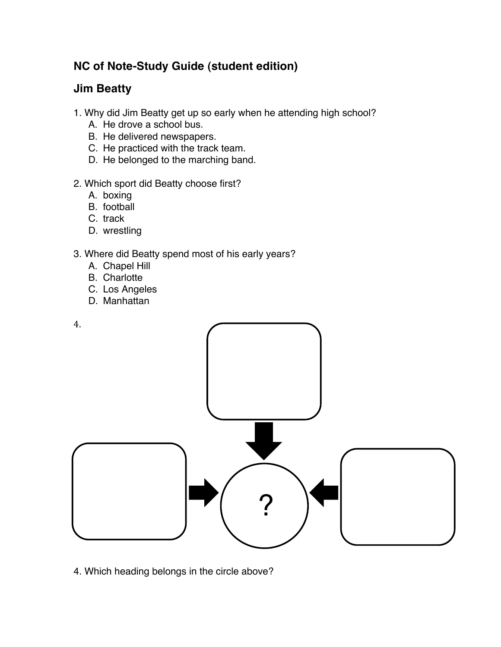# **NC of Note-Study Guide (student edition)**

# **Jim Beatty**

- 1. Why did Jim Beatty get up so early when he attending high school?
	- A. He drove a school bus.
	- B. He delivered newspapers.
	- C. He practiced with the track team.
	- D. He belonged to the marching band.

### 2. Which sport did Beatty choose first?

- A. boxing
- B. football
- C. track
- D. wrestling

# 3. Where did Beatty spend most of his early years?

- A. Chapel Hill
- B. Charlotte
- C. Los Angeles
- D. Manhattan



4. Which heading belongs in the circle above?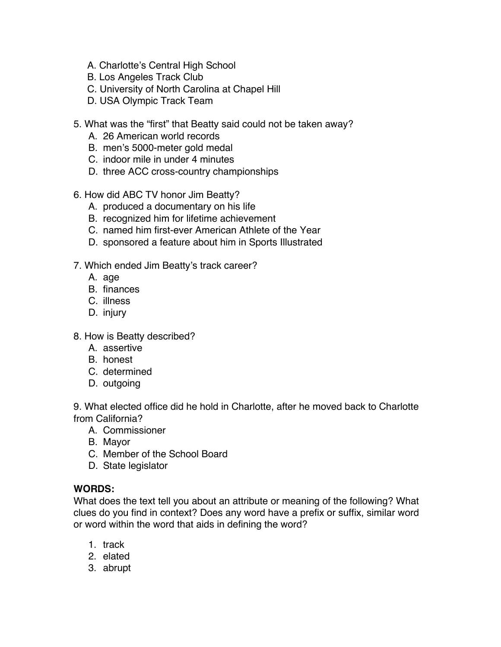- A. Charlotte's Central High School
- B. Los Angeles Track Club
- C. University of North Carolina at Chapel Hill
- D. USA Olympic Track Team
- 5. What was the "first" that Beatty said could not be taken away?
	- A. 26 American world records
	- B. men's 5000-meter gold medal
	- C. indoor mile in under 4 minutes
	- D. three ACC cross-country championships
- 6. How did ABC TV honor Jim Beatty?
	- A. produced a documentary on his life
	- B. recognized him for lifetime achievement
	- C. named him first-ever American Athlete of the Year
	- D. sponsored a feature about him in Sports Illustrated
- 7. Which ended Jim Beatty's track career?
	- A. age
	- B. finances
	- C. illness
	- D. injury
- 8. How is Beatty described?
	- A. assertive
	- B. honest
	- C. determined
	- D. outgoing

9. What elected office did he hold in Charlotte, after he moved back to Charlotte from California?

- A. Commissioner
- B. Mayor
- C. Member of the School Board
- D. State legislator

#### **WORDS:**

What does the text tell you about an attribute or meaning of the following? What clues do you find in context? Does any word have a prefix or suffix, similar word or word within the word that aids in defining the word?

- 1. track
- 2. elated
- 3. abrupt